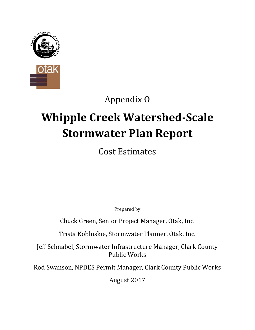

# Appendix O

# **Whipple Creek Watershed-Scale Stormwater Plan Report**

Cost Estimates

Prepared by

Chuck Green, Senior Project Manager, Otak, Inc.

Trista Kobluskie, Stormwater Planner, Otak, Inc.

Jeff Schnabel, Stormwater Infrastructure Manager, Clark County Public Works

Rod Swanson, NPDES Permit Manager, Clark County Public Works

August 2017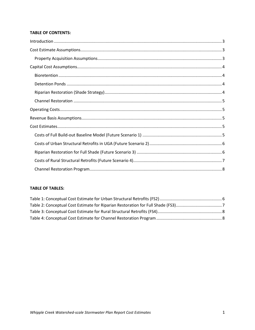#### **TABLE OF CONTENTS:**

#### **TABLE OF TABLES:**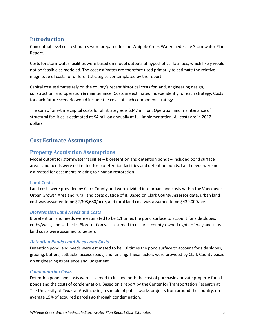# <span id="page-4-0"></span>**Introduction**

Conceptual-level cost estimates were prepared for the Whipple Creek Watershed-scale Stormwater Plan Report.

Costs for stormwater facilities were based on model outputs of hypothetical facilities, which likely would not be feasible as modeled. The cost estimates are therefore used primarily to estimate the relative magnitude of costs for different strategies contemplated by the report.

Capital cost estimates rely on the county's recent historical costs for land, engineering design, construction, and operation & maintenance. Costs are estimated independently for each strategy. Costs for each future scenario would include the costs of each component strategy.

The sum of one-time capital costs for all strategies is \$347 million. Operation and maintenance of structural facilities is estimated at \$4 million annually at full implementation. All costs are in 2017 dollars.

# <span id="page-4-1"></span>**Cost Estimate Assumptions**

# <span id="page-4-2"></span>**Property Acquisition Assumptions**

Model output for stormwater facilities – bioretention and detention ponds – included pond surface area. Land needs were estimated for bioretention facilities and detention ponds. Land needs were not estimated for easements relating to riparian restoration.

#### **Land Costs**

Land costs were provided by Clark County and were divided into urban land costs within the Vancouver Urban Growth Area and rural land costs outside of it. Based on Clark County Assessor data, urban land cost was assumed to be \$2,308,680/acre, and rural land cost was assumed to be \$430,000/acre.

#### *Bioretention Land Needs and Costs*

Bioretention land needs were estimated to be 1.1 times the pond surface to account for side slopes, curbs/walls, and setbacks. Bioretention was assumed to occur in county-owned rights-of-way and thus land costs were assumed to be zero.

#### *Detention Ponds Land Needs and Costs*

Detention pond land needs were estimated to be 1.8 times the pond surface to account for side slopes, grading, buffers, setbacks, access roads, and fencing. These factors were provided by Clark County based on engineering experience and judgement.

#### *Condemnation Costs*

Detention pond land costs were assumed to include both the cost of purchasing private property for all ponds and the costs of condemnation. Based on a report by the Center for Transportation Research at The University of Texas at Austin, using a sample of public works projects from around the country, on average 15% of acquired parcels go through condemnation.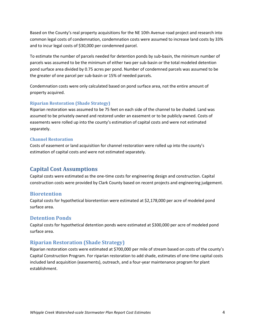Based on the County's real property acquisitions for the NE 10th Avenue road project and research into common legal costs of condemnation, condemnation costs were assumed to increase land costs by 33% and to incur legal costs of \$30,000 per condemned parcel.

To estimate the number of parcels needed for detention ponds by sub-basin, the minimum number of parcels was assumed to be the minimum of either two per sub-basin or the total modeled detention pond surface area divided by 0.75 acres per pond. Number of condemned parcels was assumed to be the greater of one parcel per sub-basin or 15% of needed parcels.

Condemnation costs were only calculated based on pond surface area, not the entire amount of property acquired.

#### **Riparian Restoration (Shade Strategy)**

Riparian restoration was assumed to be 75 feet on each side of the channel to be shaded. Land was assumed to be privately owned and restored under an easement or to be publicly owned. Costs of easements were rolled up into the county's estimation of capital costs and were not estimated separately.

#### **Channel Restoration**

Costs of easement or land acquisition for channel restoration were rolled up into the county's estimation of capital costs and were not estimated separately.

# <span id="page-5-0"></span>**Capital Cost Assumptions**

Capital costs were estimated as the one-time costs for engineering design and construction. Capital construction costs were provided by Clark County based on recent projects and engineering judgement.

#### <span id="page-5-1"></span>**Bioretention**

Capital costs for hypothetical bioretention were estimated at \$2,178,000 per acre of modeled pond surface area.

#### <span id="page-5-2"></span>**Detention Ponds**

Capital costs for hypothetical detention ponds were estimated at \$300,000 per acre of modeled pond surface area.

#### <span id="page-5-3"></span>**Riparian Restoration (Shade Strategy)**

Riparian restoration costs were estimated at \$700,000 per mile of stream based on costs of the county's Capital Construction Program. For riparian restoration to add shade, estimates of one-time capital costs included land acquisition (easements), outreach, and a four-year maintenance program for plant establishment.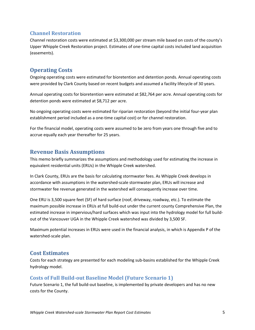#### <span id="page-6-0"></span>**Channel Restoration**

Channel restoration costs were estimated at \$3,300,000 per stream mile based on costs of the county's Upper Whipple Creek Restoration project. Estimates of one-time capital costs included land acquisition (easements).

# <span id="page-6-1"></span>**Operating Costs**

Ongoing operating costs were estimated for bioretention and detention ponds. Annual operating costs were provided by Clark County based on recent budgets and assumed a facility lifecycle of 30 years.

Annual operating costs for bioretention were estimated at \$82,764 per acre. Annual operating costs for detention ponds were estimated at \$8,712 per acre.

No ongoing operating costs were estimated for riparian restoration (beyond the initial four-year plan establishment period included as a one-time capital cost) or for channel restoration.

For the financial model, operating costs were assumed to be zero from years one through five and to accrue equally each year thereafter for 25 years.

# <span id="page-6-2"></span>**Revenue Basis Assumptions**

This memo briefly summarizes the assumptions and methodology used for estimating the increase in equivalent residential units (ERUs) in the Whipple Creek watershed.

In Clark County, ERUs are the basis for calculating stormwater fees. As Whipple Creek develops in accordance with assumptions in the watershed-scale stormwater plan, ERUs will increase and stormwater fee revenue generated in the watershed will consequently increase over time.

One ERU is 3,500 square feet (SF) of hard surface (roof, driveway, roadway, etc.). To estimate the maximum possible increase in ERUs at full build-out under the current county Comprehensive Plan, the estimated increase in impervious/hard surfaces which was input into the hydrology model for full buildout of the Vancouver UGA in the Whipple Creek watershed was divided by 3,500 SF.

Maximum potential increases in ERUs were used in the financial analysis, in which is Appendix P of the watershed-scale plan.

# <span id="page-6-3"></span>**Cost Estimates**

Costs for each strategy are presented for each modeling sub-basins established for the Whipple Creek hydrology model.

# <span id="page-6-4"></span>**Costs of Full Build-out Baseline Model (Future Scenario 1)**

Future Scenario 1, the full build-out baseline, is implemented by private developers and has no new costs for the County.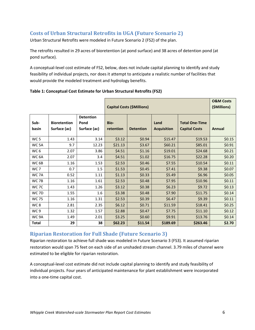# <span id="page-7-0"></span>**Costs of Urban Structural Retrofits in UGA (Future Scenario 2)**

Urban Structural Retrofits were modeled in Future Scenario 2 (FS2) of the plan.

The retrofits resulted in 29 acres of bioretention (at pond surface) and 38 acres of detention pond (at pond surface).

A conceptual-level cost estimate of FS2, below, does not include capital planning to identify and study feasibility of individual projects, nor does it attempt to anticipate a realistic number of facilities that would provide the modeled treatment and hydrology benefits.

|                  |                                     |                                          | <b>Capital Costs (\$Millions)</b> | <b>O&amp;M Costs</b><br>(\$Millions) |                            |                                               |               |
|------------------|-------------------------------------|------------------------------------------|-----------------------------------|--------------------------------------|----------------------------|-----------------------------------------------|---------------|
| Sub-<br>basin    | <b>Bioretention</b><br>Surface (ac) | <b>Detention</b><br>Pond<br>Surface (ac) | Bio-<br>retention                 | <b>Detention</b>                     | Land<br><b>Acquisition</b> | <b>Total One-Time</b><br><b>Capital Costs</b> | <b>Annual</b> |
| WC <sub>5</sub>  | 1.43                                | 3.14                                     | \$3.12                            | \$0.94                               | \$15.47                    | \$19.53                                       | \$0.15        |
| WC <sub>5A</sub> | 9.7                                 | 12.23                                    | \$21.13                           | \$3.67                               | \$60.21                    | \$85.01                                       | \$0.91        |
| WC <sub>6</sub>  | 2.07                                | 3.86                                     | \$4.51                            | \$1.16                               | \$19.01                    | \$24.68                                       | \$0.21        |
| WC <sub>6A</sub> | 2.07                                | 3.4                                      | \$4.51                            | \$1.02                               | \$16.75                    | \$22.28                                       | \$0.20        |
| WC <sub>6B</sub> | 1.16                                | 1.53                                     | \$2.53                            | \$0.46                               | \$7.55                     | \$10.54                                       | \$0.11        |
| WC 7             | 0.7                                 | 1.5                                      | \$1.53                            | \$0.45                               | \$7.41                     | \$9.38                                        | \$0.07        |
| WC 7A            | 0.52                                | 1.11                                     | \$1.13                            | \$0.33                               | \$5.49                     | \$6.96                                        | \$0.05        |
| WC 7B            | 1.16                                | 1.61                                     | \$2.53                            | \$0.48                               | \$7.95                     | \$10.96                                       | \$0.11        |
| WC 7C            | 1.43                                | 1.26                                     | \$3.12                            | \$0.38                               | \$6.23                     | \$9.72                                        | \$0.13        |
| WC 7D            | 1.55                                | 1.6                                      | \$3.38                            | \$0.48                               | \$7.90                     | \$11.75                                       | \$0.14        |
| <b>WC 75</b>     | 1.16                                | 1.31                                     | \$2.53                            | \$0.39                               | \$6.47                     | \$9.39                                        | \$0.11        |
| WC <sub>8</sub>  | 2.81                                | 2.35                                     | \$6.12                            | \$0.71                               | \$11.59                    | \$18.41                                       | \$0.25        |
| WC 9             | 1.32                                | 1.57                                     | \$2.88                            | \$0.47                               | \$7.75                     | \$11.10                                       | \$0.12        |
| WC 9A            | 1.49                                | 2.01                                     | \$3.25                            | \$0.60                               | \$9.91                     | \$13.76                                       | \$0.14        |
| <b>Total</b>     | 29                                  | 38                                       | \$62.23                           | \$11.54                              | \$189.69                   | \$263.46                                      | \$2.70        |

#### <span id="page-7-2"></span>**Table 1: Conceptual Cost Estimate for Urban Structural Retrofits (FS2)**

# <span id="page-7-1"></span>**Riparian Restoration for Full Shade (Future Scenario 3)**

Riparian restoration to achieve full shade was modeled in Future Scenario 3 (FS3). It assumed riparian restoration would span 75 feet on each side of an unshaded stream channel. 3.79 miles of channel were estimated to be eligible for riparian restoration.

A conceptual-level cost estimate did not include capital planning to identify and study feasibility of individual projects. Four years of anticipated maintenance for plant establishment were incorporated into a one-time capital cost.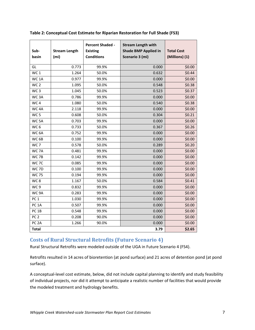| Sub-<br>basin     | <b>Stream Length</b><br>(m <sub>i</sub> ) | <b>Percent Shaded -</b><br><b>Existing</b><br><b>Conditions</b> | <b>Stream Length with</b><br><b>Shade BMP Applied in</b><br>Scenario 3 (mi) | <b>Total Cost</b><br>(Millions) (1) |
|-------------------|-------------------------------------------|-----------------------------------------------------------------|-----------------------------------------------------------------------------|-------------------------------------|
| GL                | 0.773                                     | 99.9%                                                           | 0.000                                                                       | \$0.00                              |
| WC <sub>1</sub>   | 1.264                                     | 50.0%                                                           | 0.632                                                                       | \$0.44                              |
| WC <sub>1</sub> A | 0.977                                     | 99.9%                                                           | 0.000                                                                       | \$0.00                              |
| WC <sub>2</sub>   | 1.095                                     | 50.0%                                                           | 0.548                                                                       | \$0.38                              |
| WC <sub>3</sub>   | 1.045                                     | 50.0%                                                           | 0.523                                                                       | \$0.37                              |
| WC <sub>3</sub> A | 0.786                                     | 99.9%                                                           | 0.000                                                                       | \$0.00                              |
| WC <sub>4</sub>   | 1.080                                     | 50.0%                                                           | 0.540                                                                       | \$0.38                              |
| WC <sub>4A</sub>  | 2.118                                     | 99.9%                                                           | 0.000                                                                       | \$0.00                              |
| WC <sub>5</sub>   | 0.608                                     | 50.0%                                                           | 0.304                                                                       | \$0.21                              |
| WC <sub>5A</sub>  | 0.703                                     | 99.9%                                                           | 0.000                                                                       | \$0.00                              |
| WC <sub>6</sub>   | 0.733                                     | 50.0%                                                           | 0.367                                                                       | \$0.26                              |
| WC <sub>6A</sub>  | 0.752                                     | 99.9%                                                           | 0.000                                                                       | \$0.00                              |
| WC <sub>6B</sub>  | 0.100                                     | 99.9%                                                           | 0.000                                                                       | \$0.00                              |
| WC <sub>7</sub>   | 0.578                                     | 50.0%                                                           | 0.289                                                                       | \$0.20                              |
| WC 7A             | 0.481                                     | 99.9%                                                           | 0.000                                                                       | \$0.00                              |
| WC 7B             | 0.142                                     | 99.9%                                                           | 0.000                                                                       | \$0.00                              |
| WC 7C             | 0.085                                     | 99.9%                                                           | 0.000                                                                       | \$0.00                              |
| WC 7D             | 0.100                                     | 99.9%                                                           | 0.000                                                                       | \$0.00                              |
| <b>WC 75</b>      | 0.194                                     | 99.9%                                                           | 0.000                                                                       | \$0.00                              |
| WC8               | 1.167                                     | 50.0%                                                           | 0.584                                                                       | \$0.41                              |
| WC <sub>9</sub>   | 0.832                                     | 99.9%                                                           | 0.000                                                                       | \$0.00                              |
| WC <sub>9A</sub>  | 0.283                                     | 99.9%                                                           | 0.000                                                                       | \$0.00                              |
| PC <sub>1</sub>   | 1.030                                     | 99.9%                                                           | 0.000                                                                       | \$0.00                              |
| PC <sub>1</sub> A | 0.507                                     | 99.9%                                                           | 0.000                                                                       | \$0.00                              |
| PC <sub>1B</sub>  | 0.548                                     | 99.9%                                                           | 0.000                                                                       | \$0.00                              |
| PC <sub>2</sub>   | 0.208                                     | 90.0%                                                           | 0.000                                                                       | \$0.00                              |
| PC <sub>2A</sub>  | 1.266                                     | 90.0%                                                           | 0.000                                                                       | \$0.00                              |
| <b>Total</b>      |                                           |                                                                 | 3.79                                                                        | \$2.65                              |

<span id="page-8-1"></span>**Table 2: Conceptual Cost Estimate for Riparian Restoration for Full Shade (FS3)**

# <span id="page-8-0"></span>**Costs of Rural Structural Retrofits (Future Scenario 4)**

Rural Structural Retrofits were modeled outside of the UGA in Future Scenario 4 (FS4).

Retrofits resulted in 14 acres of bioretention (at pond surface) and 21 acres of detention pond (at pond surface).

A conceptual-level cost estimate, below, did not include capital planning to identify and study feasibility of individual projects, nor did it attempt to anticipate a realistic number of facilities that would provide the modeled treatment and hydrology benefits.